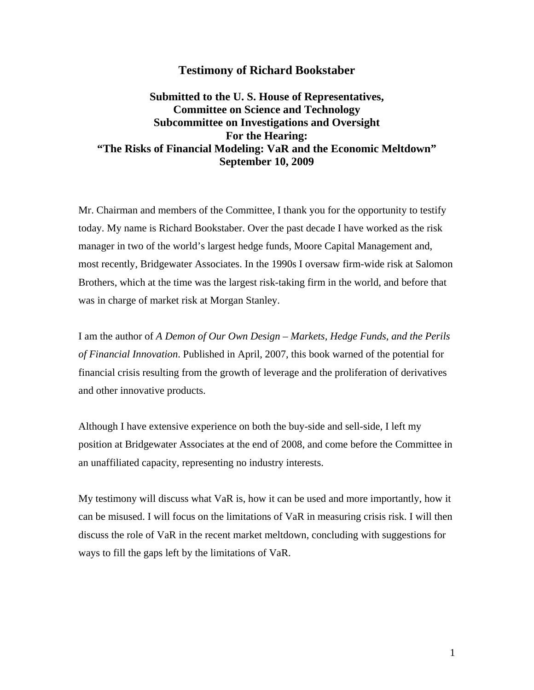## **Testimony of Richard Bookstaber**

# **Submitted to the U. S. House of Representatives, Committee on Science and Technology Subcommittee on Investigations and Oversight For the Hearing: "The Risks of Financial Modeling: VaR and the Economic Meltdown" September 10, 2009**

Mr. Chairman and members of the Committee, I thank you for the opportunity to testify today. My name is Richard Bookstaber. Over the past decade I have worked as the risk manager in two of the world's largest hedge funds, Moore Capital Management and, most recently, Bridgewater Associates. In the 1990s I oversaw firm-wide risk at Salomon Brothers, which at the time was the largest risk-taking firm in the world, and before that was in charge of market risk at Morgan Stanley.

I am the author of *A Demon of Our Own Design – Markets, Hedge Funds, and the Perils of Financial Innovation*. Published in April, 2007, this book warned of the potential for financial crisis resulting from the growth of leverage and the proliferation of derivatives and other innovative products.

Although I have extensive experience on both the buy-side and sell-side, I left my position at Bridgewater Associates at the end of 2008, and come before the Committee in an unaffiliated capacity, representing no industry interests.

My testimony will discuss what VaR is, how it can be used and more importantly, how it can be misused. I will focus on the limitations of VaR in measuring crisis risk. I will then discuss the role of VaR in the recent market meltdown, concluding with suggestions for ways to fill the gaps left by the limitations of VaR.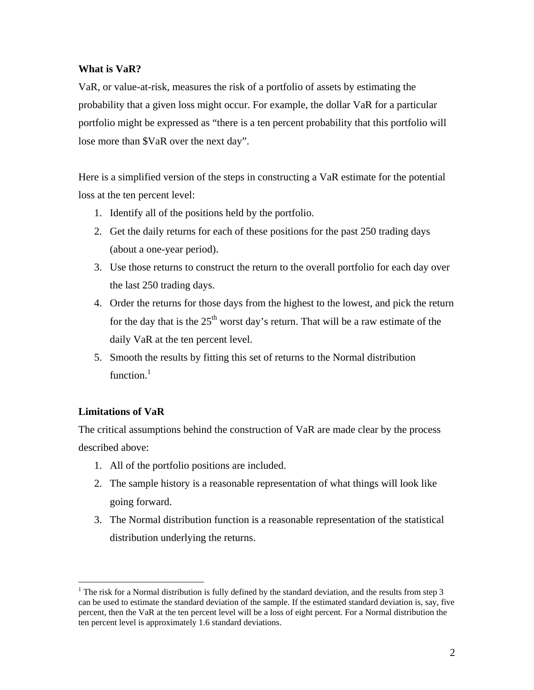### **What is VaR?**

VaR, or value-at-risk, measures the risk of a portfolio of assets by estimating the probability that a given loss might occur. For example, the dollar VaR for a particular portfolio might be expressed as "there is a ten percent probability that this portfolio will lose more than \$VaR over the next day".

Here is a simplified version of the steps in constructing a VaR estimate for the potential loss at the ten percent level:

- 1. Identify all of the positions held by the portfolio.
- 2. Get the daily returns for each of these positions for the past 250 trading days (about a one-year period).
- 3. Use those returns to construct the return to the overall portfolio for each day over the last 250 trading days.
- 4. Order the returns for those days from the highest to the lowest, and pick the return for the day that is the  $25<sup>th</sup>$  worst day's return. That will be a raw estimate of the daily VaR at the ten percent level.
- 5. Smooth the results by fitting this set of returns to the Normal distribution function. $<sup>1</sup>$ </sup>

## **Limitations of VaR**

<u>.</u>

The critical assumptions behind the construction of VaR are made clear by the process described above:

- 1. All of the portfolio positions are included.
- 2. The sample history is a reasonable representation of what things will look like going forward.
- 3. The Normal distribution function is a reasonable representation of the statistical distribution underlying the returns.

<sup>&</sup>lt;sup>1</sup> The risk for a Normal distribution is fully defined by the standard deviation, and the results from step 3 can be used to estimate the standard deviation of the sample. If the estimated standard deviation is, say, five percent, then the VaR at the ten percent level will be a loss of eight percent. For a Normal distribution the ten percent level is approximately 1.6 standard deviations.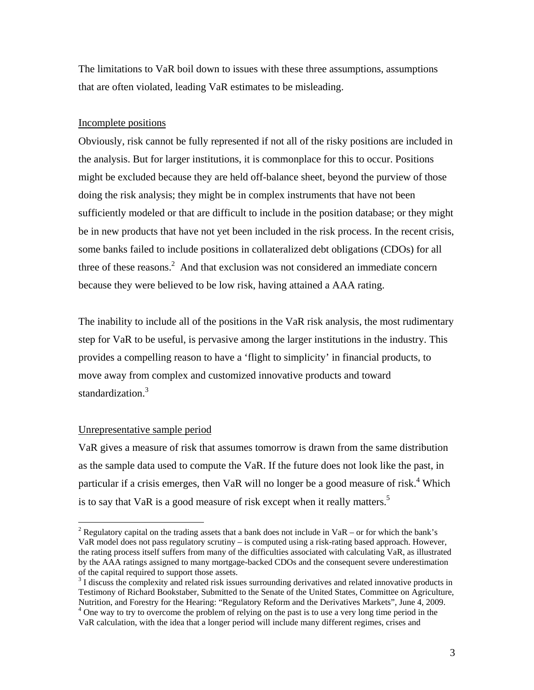The limitations to VaR boil down to issues with these three assumptions, assumptions that are often violated, leading VaR estimates to be misleading.

#### Incomplete positions

Obviously, risk cannot be fully represented if not all of the risky positions are included in the analysis. But for larger institutions, it is commonplace for this to occur. Positions might be excluded because they are held off-balance sheet, beyond the purview of those doing the risk analysis; they might be in complex instruments that have not been sufficiently modeled or that are difficult to include in the position database; or they might be in new products that have not yet been included in the risk process. In the recent crisis, some banks failed to include positions in collateralized debt obligations (CDOs) for all three of these reasons.<sup>2</sup> And that exclusion was not considered an immediate concern because they were believed to be low risk, having attained a AAA rating.

The inability to include all of the positions in the VaR risk analysis, the most rudimentary step for VaR to be useful, is pervasive among the larger institutions in the industry. This provides a compelling reason to have a 'flight to simplicity' in financial products, to move away from complex and customized innovative products and toward standardization.<sup>3</sup>

### Unrepresentative sample period

 $\overline{a}$ 

VaR gives a measure of risk that assumes tomorrow is drawn from the same distribution as the sample data used to compute the VaR. If the future does not look like the past, in particular if a crisis emerges, then VaR will no longer be a good measure of risk.<sup>4</sup> Which is to say that VaR is a good measure of risk except when it really matters.<sup>5</sup>

<sup>&</sup>lt;sup>2</sup> Regulatory capital on the trading assets that a bank does not include in VaR – or for which the bank's VaR model does not pass regulatory scrutiny – is computed using a risk-rating based approach. However, the rating process itself suffers from many of the difficulties associated with calculating VaR, as illustrated by the AAA ratings assigned to many mortgage-backed CDOs and the consequent severe underestimation of the capital required to support those assets.

 $3$  I discuss the complexity and related risk issues surrounding derivatives and related innovative products in Testimony of Richard Bookstaber, Submitted to the Senate of the United States, Committee on Agriculture, Nutrition, and Forestry for the Hearing: "Regulatory Reform and the Derivatives Markets", June 4, 2009. <sup>4</sup> One way to try to overcome the problem of relying on the past is to use a very long time period in the

VaR calculation, with the idea that a longer period will include many different regimes, crises and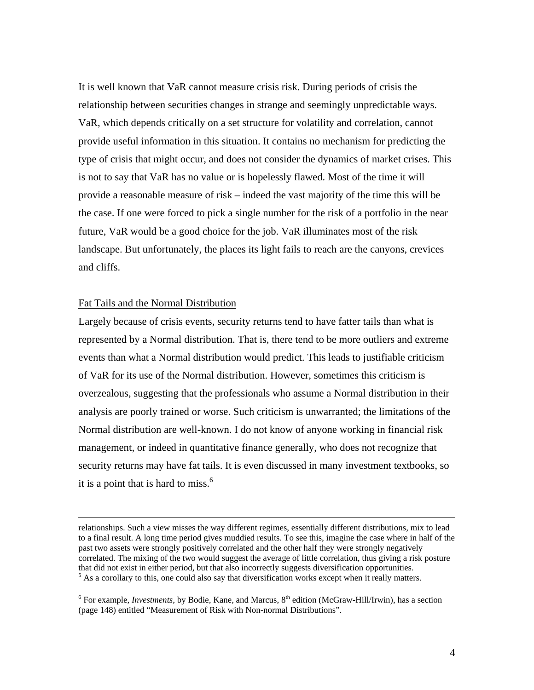It is well known that VaR cannot measure crisis risk. During periods of crisis the relationship between securities changes in strange and seemingly unpredictable ways. VaR, which depends critically on a set structure for volatility and correlation, cannot provide useful information in this situation. It contains no mechanism for predicting the type of crisis that might occur, and does not consider the dynamics of market crises. This is not to say that VaR has no value or is hopelessly flawed. Most of the time it will provide a reasonable measure of risk – indeed the vast majority of the time this will be the case. If one were forced to pick a single number for the risk of a portfolio in the near future, VaR would be a good choice for the job. VaR illuminates most of the risk landscape. But unfortunately, the places its light fails to reach are the canyons, crevices and cliffs.

### Fat Tails and the Normal Distribution

Largely because of crisis events, security returns tend to have fatter tails than what is represented by a Normal distribution. That is, there tend to be more outliers and extreme events than what a Normal distribution would predict. This leads to justifiable criticism of VaR for its use of the Normal distribution. However, sometimes this criticism is overzealous, suggesting that the professionals who assume a Normal distribution in their analysis are poorly trained or worse. Such criticism is unwarranted; the limitations of the Normal distribution are well-known. I do not know of anyone working in financial risk management, or indeed in quantitative finance generally, who does not recognize that security returns may have fat tails. It is even discussed in many investment textbooks, so it is a point that is hard to miss. $<sup>6</sup>$ </sup>

relationships. Such a view misses the way different regimes, essentially different distributions, mix to lead to a final result. A long time period gives muddied results. To see this, imagine the case where in half of the past two assets were strongly positively correlated and the other half they were strongly negatively correlated. The mixing of the two would suggest the average of little correlation, thus giving a risk posture that did not exist in either period, but that also incorrectly suggests diversification opportunities. 5  $<sup>5</sup>$  As a corollary to this, one could also say that diversification works except when it really matters.</sup>

 $6$  For example, *Investments*, by Bodie, Kane, and Marcus,  $8<sup>th</sup>$  edition (McGraw-Hill/Irwin), has a section (page 148) entitled "Measurement of Risk with Non-normal Distributions".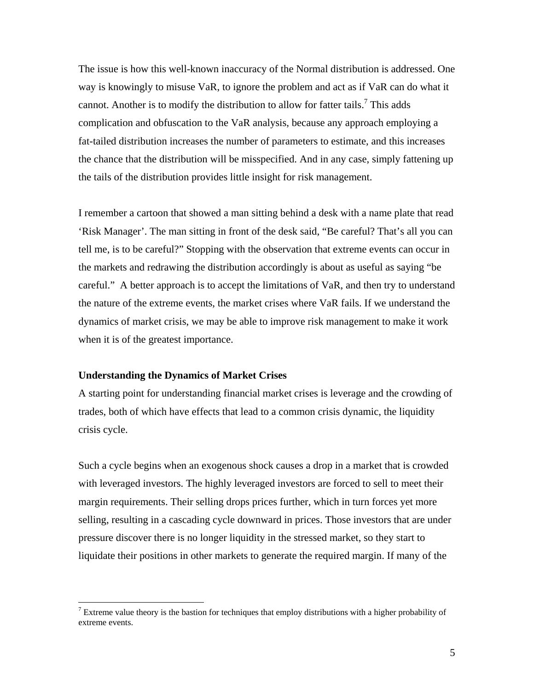The issue is how this well-known inaccuracy of the Normal distribution is addressed. One way is knowingly to misuse VaR, to ignore the problem and act as if VaR can do what it cannot. Another is to modify the distribution to allow for fatter tails.<sup>7</sup> This adds complication and obfuscation to the VaR analysis, because any approach employing a fat-tailed distribution increases the number of parameters to estimate, and this increases the chance that the distribution will be misspecified. And in any case, simply fattening up the tails of the distribution provides little insight for risk management.

I remember a cartoon that showed a man sitting behind a desk with a name plate that read 'Risk Manager'. The man sitting in front of the desk said, "Be careful? That's all you can tell me, is to be careful?" Stopping with the observation that extreme events can occur in the markets and redrawing the distribution accordingly is about as useful as saying "be careful." A better approach is to accept the limitations of VaR, and then try to understand the nature of the extreme events, the market crises where VaR fails. If we understand the dynamics of market crisis, we may be able to improve risk management to make it work when it is of the greatest importance.

#### **Understanding the Dynamics of Market Crises**

 $\overline{a}$ 

A starting point for understanding financial market crises is leverage and the crowding of trades, both of which have effects that lead to a common crisis dynamic, the liquidity crisis cycle.

Such a cycle begins when an exogenous shock causes a drop in a market that is crowded with leveraged investors. The highly leveraged investors are forced to sell to meet their margin requirements. Their selling drops prices further, which in turn forces yet more selling, resulting in a cascading cycle downward in prices. Those investors that are under pressure discover there is no longer liquidity in the stressed market, so they start to liquidate their positions in other markets to generate the required margin. If many of the

<sup>&</sup>lt;sup>7</sup> Extreme value theory is the bastion for techniques that employ distributions with a higher probability of extreme events.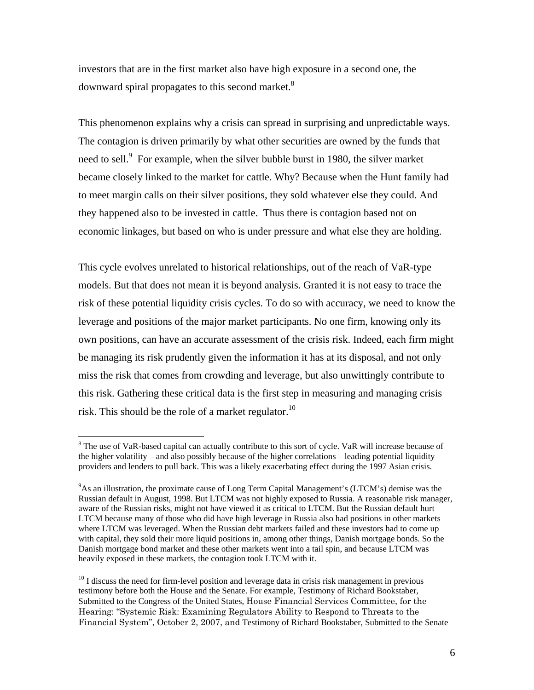investors that are in the first market also have high exposure in a second one, the downward spiral propagates to this second market.<sup>8</sup>

This phenomenon explains why a crisis can spread in surprising and unpredictable ways. The contagion is driven primarily by what other securities are owned by the funds that need to sell.<sup>9</sup> For example, when the silver bubble burst in 1980, the silver market became closely linked to the market for cattle. Why? Because when the Hunt family had to meet margin calls on their silver positions, they sold whatever else they could. And they happened also to be invested in cattle. Thus there is contagion based not on economic linkages, but based on who is under pressure and what else they are holding.

This cycle evolves unrelated to historical relationships, out of the reach of VaR-type models. But that does not mean it is beyond analysis. Granted it is not easy to trace the risk of these potential liquidity crisis cycles. To do so with accuracy, we need to know the leverage and positions of the major market participants. No one firm, knowing only its own positions, can have an accurate assessment of the crisis risk. Indeed, each firm might be managing its risk prudently given the information it has at its disposal, and not only miss the risk that comes from crowding and leverage, but also unwittingly contribute to this risk. Gathering these critical data is the first step in measuring and managing crisis risk. This should be the role of a market regulator.<sup>10</sup>

 $\overline{a}$ 

<sup>&</sup>lt;sup>8</sup> The use of VaR-based capital can actually contribute to this sort of cycle. VaR will increase because of the higher volatility – and also possibly because of the higher correlations – leading potential liquidity providers and lenders to pull back. This was a likely exacerbating effect during the 1997 Asian crisis.

<sup>&</sup>lt;sup>9</sup>As an illustration, the proximate cause of Long Term Capital Management's (LTCM's) demise was the Russian default in August, 1998. But LTCM was not highly exposed to Russia. A reasonable risk manager, aware of the Russian risks, might not have viewed it as critical to LTCM. But the Russian default hurt LTCM because many of those who did have high leverage in Russia also had positions in other markets where LTCM was leveraged. When the Russian debt markets failed and these investors had to come up with capital, they sold their more liquid positions in, among other things, Danish mortgage bonds. So the Danish mortgage bond market and these other markets went into a tail spin, and because LTCM was heavily exposed in these markets, the contagion took LTCM with it.

 $10$  I discuss the need for firm-level position and leverage data in crisis risk management in previous testimony before both the House and the Senate. For example, Testimony of Richard Bookstaber, Submitted to the Congress of the United States, House Financial Services Committee, for the Hearing: "Systemic Risk: Examining Regulators Ability to Respond to Threats to the Financial System", October 2, 2007, and Testimony of Richard Bookstaber, Submitted to the Senate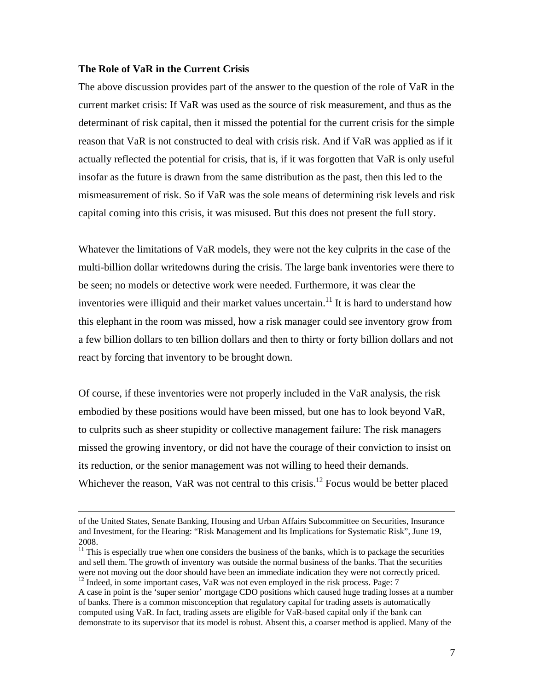#### **The Role of VaR in the Current Crisis**

The above discussion provides part of the answer to the question of the role of VaR in the current market crisis: If VaR was used as the source of risk measurement, and thus as the determinant of risk capital, then it missed the potential for the current crisis for the simple reason that VaR is not constructed to deal with crisis risk. And if VaR was applied as if it actually reflected the potential for crisis, that is, if it was forgotten that VaR is only useful insofar as the future is drawn from the same distribution as the past, then this led to the mismeasurement of risk. So if VaR was the sole means of determining risk levels and risk capital coming into this crisis, it was misused. But this does not present the full story.

Whatever the limitations of VaR models, they were not the key culprits in the case of the multi-billion dollar writedowns during the crisis. The large bank inventories were there to be seen; no models or detective work were needed. Furthermore, it was clear the inventories were illiquid and their market values uncertain.<sup>11</sup> It is hard to understand how this elephant in the room was missed, how a risk manager could see inventory grow from a few billion dollars to ten billion dollars and then to thirty or forty billion dollars and not react by forcing that inventory to be brought down.

Of course, if these inventories were not properly included in the VaR analysis, the risk embodied by these positions would have been missed, but one has to look beyond VaR, to culprits such as sheer stupidity or collective management failure: The risk managers missed the growing inventory, or did not have the courage of their conviction to insist on its reduction, or the senior management was not willing to heed their demands. Whichever the reason, VaR was not central to this crisis.<sup>12</sup> Focus would be better placed

of the United States, Senate Banking, Housing and Urban Affairs Subcommittee on Securities, Insurance and Investment, for the Hearing: "Risk Management and Its Implications for Systematic Risk", June 19, 2008.  $11$  This is especially true when one considers the business of the banks, which is to package the securities

and sell them. The growth of inventory was outside the normal business of the banks. That the securities were not moving out the door should have been an immediate indication they were not correctly priced. <sup>12</sup> Indeed, in some important cases, VaR was not even employed in the risk process. Page: 7

A case in point is the 'super senior' mortgage CDO positions which caused huge trading losses at a number of banks. There is a common misconception that regulatory capital for trading assets is automatically computed using VaR. In fact, trading assets are eligible for VaR-based capital only if the bank can demonstrate to its supervisor that its model is robust. Absent this, a coarser method is applied. Many of the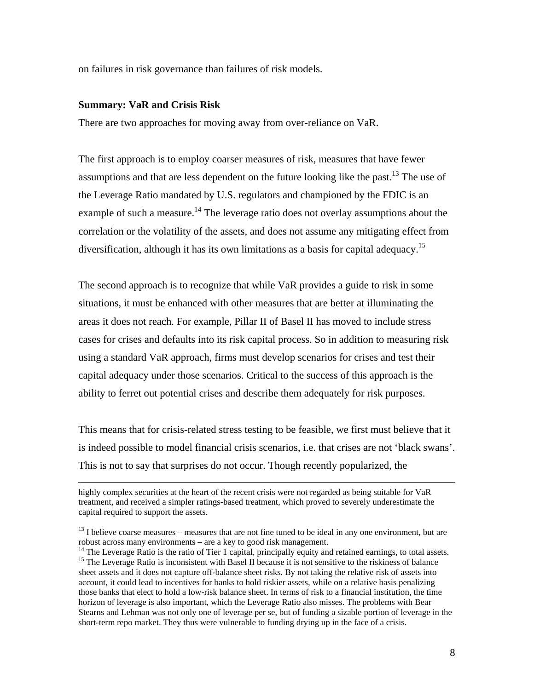on failures in risk governance than failures of risk models.

### **Summary: VaR and Crisis Risk**

There are two approaches for moving away from over-reliance on VaR.

The first approach is to employ coarser measures of risk, measures that have fewer assumptions and that are less dependent on the future looking like the past.<sup>13</sup> The use of the Leverage Ratio mandated by U.S. regulators and championed by the FDIC is an example of such a measure.<sup>14</sup> The leverage ratio does not overlay assumptions about the correlation or the volatility of the assets, and does not assume any mitigating effect from diversification, although it has its own limitations as a basis for capital adequacy.<sup>15</sup>

The second approach is to recognize that while VaR provides a guide to risk in some situations, it must be enhanced with other measures that are better at illuminating the areas it does not reach. For example, Pillar II of Basel II has moved to include stress cases for crises and defaults into its risk capital process. So in addition to measuring risk using a standard VaR approach, firms must develop scenarios for crises and test their capital adequacy under those scenarios. Critical to the success of this approach is the ability to ferret out potential crises and describe them adequately for risk purposes.

This means that for crisis-related stress testing to be feasible, we first must believe that it is indeed possible to model financial crisis scenarios, i.e. that crises are not 'black swans'. This is not to say that surprises do not occur. Though recently popularized, the

highly complex securities at the heart of the recent crisis were not regarded as being suitable for VaR treatment, and received a simpler ratings-based treatment, which proved to severely underestimate the capital required to support the assets.

 $13$  I believe coarse measures – measures that are not fine tuned to be ideal in any one environment, but are robust across many environments – are a key to good risk management.<br><sup>14</sup> The Leverage Ratio is the ratio of Tier 1 capital, principally equity and retained earnings, to total assets.

 $15$  The Leverage Ratio is inconsistent with Basel II because it is not sensitive to the riskiness of balance sheet assets and it does not capture off-balance sheet risks. By not taking the relative risk of assets into account, it could lead to incentives for banks to hold riskier assets, while on a relative basis penalizing those banks that elect to hold a low-risk balance sheet. In terms of risk to a financial institution, the time horizon of leverage is also important, which the Leverage Ratio also misses. The problems with Bear Stearns and Lehman was not only one of leverage per se, but of funding a sizable portion of leverage in the short-term repo market. They thus were vulnerable to funding drying up in the face of a crisis.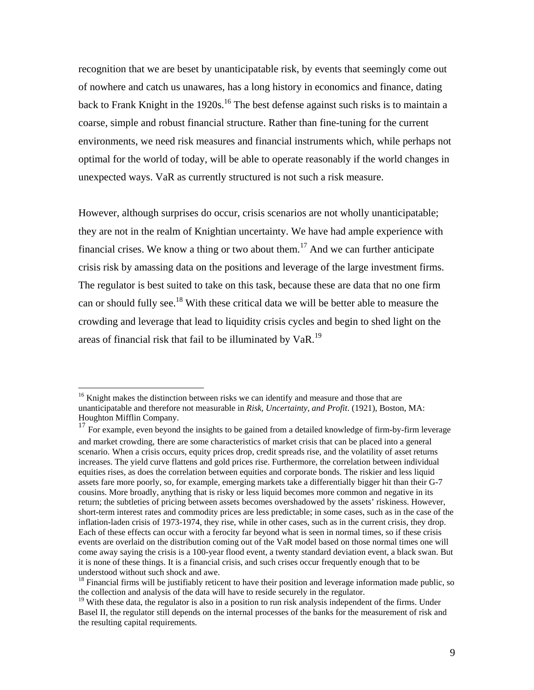recognition that we are beset by unanticipatable risk, by events that seemingly come out of nowhere and catch us unawares, has a long history in economics and finance, dating back to Frank Knight in the 1920s.<sup>16</sup> The best defense against such risks is to maintain a coarse, simple and robust financial structure. Rather than fine-tuning for the current environments, we need risk measures and financial instruments which, while perhaps not optimal for the world of today, will be able to operate reasonably if the world changes in unexpected ways. VaR as currently structured is not such a risk measure.

However, although surprises do occur, crisis scenarios are not wholly unanticipatable; they are not in the realm of Knightian uncertainty. We have had ample experience with financial crises. We know a thing or two about them.<sup>17</sup> And we can further anticipate crisis risk by amassing data on the positions and leverage of the large investment firms. The regulator is best suited to take on this task, because these are data that no one firm can or should fully see.<sup>18</sup> With these critical data we will be better able to measure the crowding and leverage that lead to liquidity crisis cycles and begin to shed light on the areas of financial risk that fail to be illuminated by VaR.19

 $\overline{a}$ 

<sup>&</sup>lt;sup>16</sup> Knight makes the distinction between risks we can identify and measure and those that are unanticipatable and therefore not measurable in *Risk, Uncertainty, and Profit*. (1921), Boston, MA: Houghton Mifflin Company.

 $17$  For example, even beyond the insights to be gained from a detailed knowledge of firm-by-firm leverage and market crowding, there are some characteristics of market crisis that can be placed into a general scenario. When a crisis occurs, equity prices drop, credit spreads rise, and the volatility of asset returns increases. The yield curve flattens and gold prices rise. Furthermore, the correlation between individual equities rises, as does the correlation between equities and corporate bonds. The riskier and less liquid assets fare more poorly, so, for example, emerging markets take a differentially bigger hit than their G-7 cousins. More broadly, anything that is risky or less liquid becomes more common and negative in its return; the subtleties of pricing between assets becomes overshadowed by the assets' riskiness. However, short-term interest rates and commodity prices are less predictable; in some cases, such as in the case of the inflation-laden crisis of 1973-1974, they rise, while in other cases, such as in the current crisis, they drop. Each of these effects can occur with a ferocity far beyond what is seen in normal times, so if these crisis events are overlaid on the distribution coming out of the VaR model based on those normal times one will come away saying the crisis is a 100-year flood event, a twenty standard deviation event, a black swan. But it is none of these things. It is a financial crisis, and such crises occur frequently enough that to be understood without such shock and awe.

<sup>&</sup>lt;sup>18</sup> Financial firms will be justifiably reticent to have their position and leverage information made public, so the collection and analysis of the data will have to reside securely in the regulator.

<sup>&</sup>lt;sup>19</sup> With these data, the regulator is also in a position to run risk analysis independent of the firms. Under Basel II, the regulator still depends on the internal processes of the banks for the measurement of risk and the resulting capital requirements.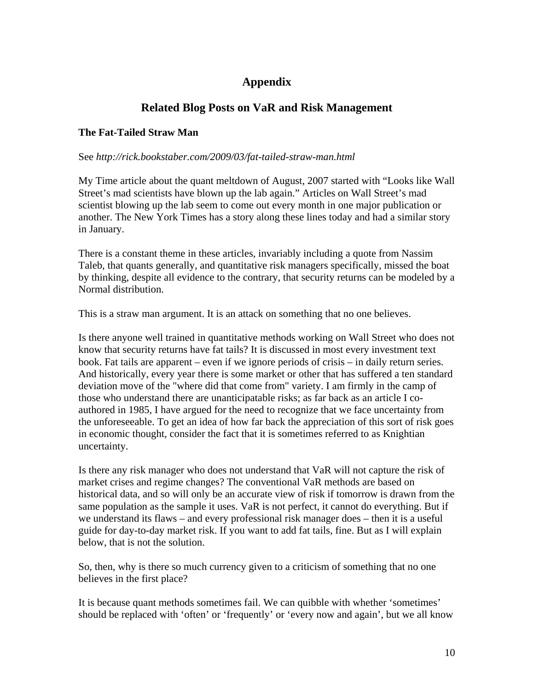# **Appendix**

# **Related Blog Posts on VaR and Risk Management**

## **The Fat-Tailed Straw Man**

### See *http://rick.bookstaber.com/2009/03/fat-tailed-straw-man.html*

My Time article about the quant meltdown of August, 2007 started with "Looks like Wall Street's mad scientists have blown up the lab again." Articles on Wall Street's mad scientist blowing up the lab seem to come out every month in one major publication or another. The New York Times has a story along these lines today and had a similar story in January.

There is a constant theme in these articles, invariably including a quote from Nassim Taleb, that quants generally, and quantitative risk managers specifically, missed the boat by thinking, despite all evidence to the contrary, that security returns can be modeled by a Normal distribution.

This is a straw man argument. It is an attack on something that no one believes.

Is there anyone well trained in quantitative methods working on Wall Street who does not know that security returns have fat tails? It is discussed in most every investment text book. Fat tails are apparent – even if we ignore periods of crisis – in daily return series. And historically, every year there is some market or other that has suffered a ten standard deviation move of the "where did that come from" variety. I am firmly in the camp of those who understand there are unanticipatable risks; as far back as an article I coauthored in 1985, I have argued for the need to recognize that we face uncertainty from the unforeseeable. To get an idea of how far back the appreciation of this sort of risk goes in economic thought, consider the fact that it is sometimes referred to as Knightian uncertainty.

Is there any risk manager who does not understand that VaR will not capture the risk of market crises and regime changes? The conventional VaR methods are based on historical data, and so will only be an accurate view of risk if tomorrow is drawn from the same population as the sample it uses. VaR is not perfect, it cannot do everything. But if we understand its flaws – and every professional risk manager does – then it is a useful guide for day-to-day market risk. If you want to add fat tails, fine. But as I will explain below, that is not the solution.

So, then, why is there so much currency given to a criticism of something that no one believes in the first place?

It is because quant methods sometimes fail. We can quibble with whether 'sometimes' should be replaced with 'often' or 'frequently' or 'every now and again', but we all know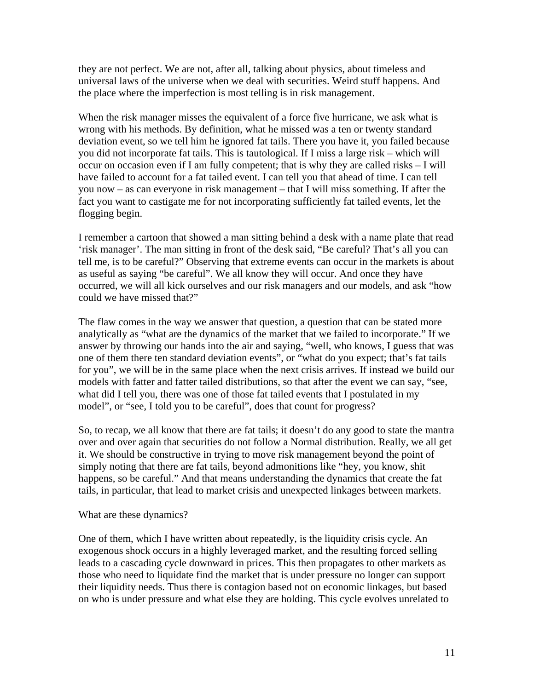they are not perfect. We are not, after all, talking about physics, about timeless and universal laws of the universe when we deal with securities. Weird stuff happens. And the place where the imperfection is most telling is in risk management.

When the risk manager misses the equivalent of a force five hurricane, we ask what is wrong with his methods. By definition, what he missed was a ten or twenty standard deviation event, so we tell him he ignored fat tails. There you have it, you failed because you did not incorporate fat tails. This is tautological. If I miss a large risk – which will occur on occasion even if I am fully competent; that is why they are called risks – I will have failed to account for a fat tailed event. I can tell you that ahead of time. I can tell you now – as can everyone in risk management – that I will miss something. If after the fact you want to castigate me for not incorporating sufficiently fat tailed events, let the flogging begin.

I remember a cartoon that showed a man sitting behind a desk with a name plate that read 'risk manager'. The man sitting in front of the desk said, "Be careful? That's all you can tell me, is to be careful?" Observing that extreme events can occur in the markets is about as useful as saying "be careful". We all know they will occur. And once they have occurred, we will all kick ourselves and our risk managers and our models, and ask "how could we have missed that?"

The flaw comes in the way we answer that question, a question that can be stated more analytically as "what are the dynamics of the market that we failed to incorporate." If we answer by throwing our hands into the air and saying, "well, who knows, I guess that was one of them there ten standard deviation events", or "what do you expect; that's fat tails for you", we will be in the same place when the next crisis arrives. If instead we build our models with fatter and fatter tailed distributions, so that after the event we can say, "see, what did I tell you, there was one of those fat tailed events that I postulated in my model", or "see, I told you to be careful", does that count for progress?

So, to recap, we all know that there are fat tails; it doesn't do any good to state the mantra over and over again that securities do not follow a Normal distribution. Really, we all get it. We should be constructive in trying to move risk management beyond the point of simply noting that there are fat tails, beyond admonitions like "hey, you know, shit happens, so be careful." And that means understanding the dynamics that create the fat tails, in particular, that lead to market crisis and unexpected linkages between markets.

### What are these dynamics?

One of them, which I have written about repeatedly, is the liquidity crisis cycle. An exogenous shock occurs in a highly leveraged market, and the resulting forced selling leads to a cascading cycle downward in prices. This then propagates to other markets as those who need to liquidate find the market that is under pressure no longer can support their liquidity needs. Thus there is contagion based not on economic linkages, but based on who is under pressure and what else they are holding. This cycle evolves unrelated to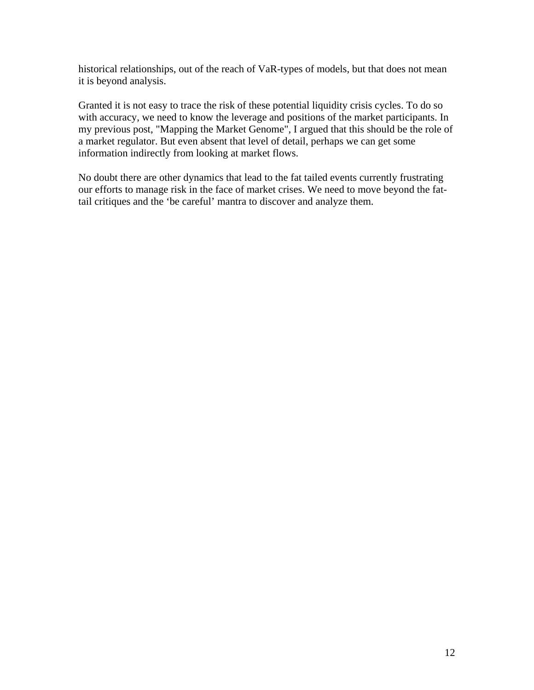historical relationships, out of the reach of VaR-types of models, but that does not mean it is beyond analysis.

Granted it is not easy to trace the risk of these potential liquidity crisis cycles. To do so with accuracy, we need to know the leverage and positions of the market participants. In my previous post, "Mapping the Market Genome", I argued that this should be the role of a market regulator. But even absent that level of detail, perhaps we can get some information indirectly from looking at market flows.

No doubt there are other dynamics that lead to the fat tailed events currently frustrating our efforts to manage risk in the face of market crises. We need to move beyond the fattail critiques and the 'be careful' mantra to discover and analyze them.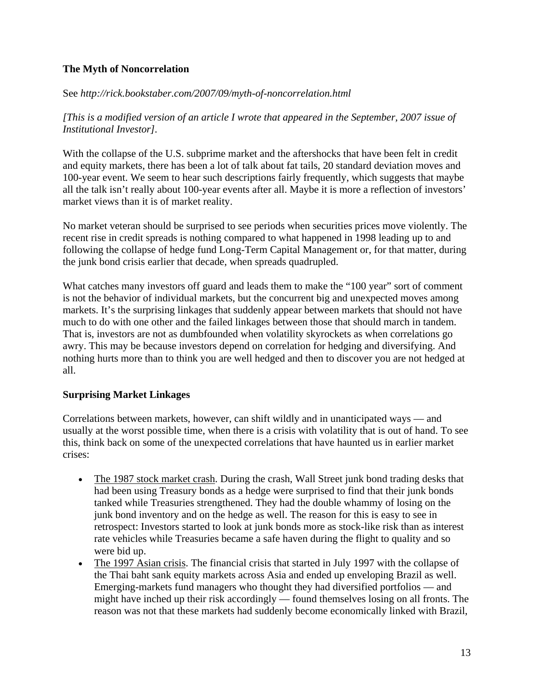# **The Myth of Noncorrelation**

## See *http://rick.bookstaber.com/2007/09/myth-of-noncorrelation.html*

*[This is a modified version of an article I wrote that appeared in the September, 2007 issue of Institutional Investor].* 

With the collapse of the U.S. subprime market and the aftershocks that have been felt in credit and equity markets, there has been a lot of talk about fat tails, 20 standard deviation moves and 100-year event. We seem to hear such descriptions fairly frequently, which suggests that maybe all the talk isn't really about 100-year events after all. Maybe it is more a reflection of investors' market views than it is of market reality.

No market veteran should be surprised to see periods when securities prices move violently. The recent rise in credit spreads is nothing compared to what happened in 1998 leading up to and following the collapse of hedge fund Long-Term Capital Management or, for that matter, during the junk bond crisis earlier that decade, when spreads quadrupled.

What catches many investors off guard and leads them to make the "100 year" sort of comment is not the behavior of individual markets, but the concurrent big and unexpected moves among markets. It's the surprising linkages that suddenly appear between markets that should not have much to do with one other and the failed linkages between those that should march in tandem. That is, investors are not as dumbfounded when volatility skyrockets as when correlations go awry. This may be because investors depend on correlation for hedging and diversifying. And nothing hurts more than to think you are well hedged and then to discover you are not hedged at all.

## **Surprising Market Linkages**

Correlations between markets, however, can shift wildly and in unanticipated ways — and usually at the worst possible time, when there is a crisis with volatility that is out of hand. To see this, think back on some of the unexpected correlations that have haunted us in earlier market crises:

- The 1987 stock market crash. During the crash, Wall Street junk bond trading desks that had been using Treasury bonds as a hedge were surprised to find that their junk bonds tanked while Treasuries strengthened. They had the double whammy of losing on the junk bond inventory and on the hedge as well. The reason for this is easy to see in retrospect: Investors started to look at junk bonds more as stock-like risk than as interest rate vehicles while Treasuries became a safe haven during the flight to quality and so were bid up.
- The 1997 Asian crisis. The financial crisis that started in July 1997 with the collapse of the Thai baht sank equity markets across Asia and ended up enveloping Brazil as well. Emerging-markets fund managers who thought they had diversified portfolios — and might have inched up their risk accordingly — found themselves losing on all fronts. The reason was not that these markets had suddenly become economically linked with Brazil,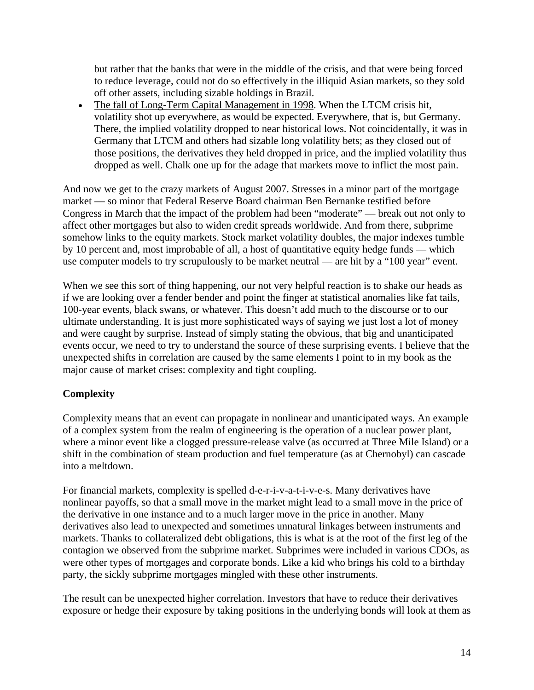but rather that the banks that were in the middle of the crisis, and that were being forced to reduce leverage, could not do so effectively in the illiquid Asian markets, so they sold off other assets, including sizable holdings in Brazil.

• The fall of Long-Term Capital Management in 1998. When the LTCM crisis hit, volatility shot up everywhere, as would be expected. Everywhere, that is, but Germany. There, the implied volatility dropped to near historical lows. Not coincidentally, it was in Germany that LTCM and others had sizable long volatility bets; as they closed out of those positions, the derivatives they held dropped in price, and the implied volatility thus dropped as well. Chalk one up for the adage that markets move to inflict the most pain.

And now we get to the crazy markets of August 2007. Stresses in a minor part of the mortgage market — so minor that Federal Reserve Board chairman Ben Bernanke testified before Congress in March that the impact of the problem had been "moderate" — break out not only to affect other mortgages but also to widen credit spreads worldwide. And from there, subprime somehow links to the equity markets. Stock market volatility doubles, the major indexes tumble by 10 percent and, most improbable of all, a host of quantitative equity hedge funds — which use computer models to try scrupulously to be market neutral — are hit by a "100 year" event.

When we see this sort of thing happening, our not very helpful reaction is to shake our heads as if we are looking over a fender bender and point the finger at statistical anomalies like fat tails, 100-year events, black swans, or whatever. This doesn't add much to the discourse or to our ultimate understanding. It is just more sophisticated ways of saying we just lost a lot of money and were caught by surprise. Instead of simply stating the obvious, that big and unanticipated events occur, we need to try to understand the source of these surprising events. I believe that the unexpected shifts in correlation are caused by the same elements I point to in my book as the major cause of market crises: complexity and tight coupling.

# **Complexity**

Complexity means that an event can propagate in nonlinear and unanticipated ways. An example of a complex system from the realm of engineering is the operation of a nuclear power plant, where a minor event like a clogged pressure-release valve (as occurred at Three Mile Island) or a shift in the combination of steam production and fuel temperature (as at Chernobyl) can cascade into a meltdown.

For financial markets, complexity is spelled d-e-r-i-v-a-t-i-v-e-s. Many derivatives have nonlinear payoffs, so that a small move in the market might lead to a small move in the price of the derivative in one instance and to a much larger move in the price in another. Many derivatives also lead to unexpected and sometimes unnatural linkages between instruments and markets. Thanks to collateralized debt obligations, this is what is at the root of the first leg of the contagion we observed from the subprime market. Subprimes were included in various CDOs, as were other types of mortgages and corporate bonds. Like a kid who brings his cold to a birthday party, the sickly subprime mortgages mingled with these other instruments.

The result can be unexpected higher correlation. Investors that have to reduce their derivatives exposure or hedge their exposure by taking positions in the underlying bonds will look at them as